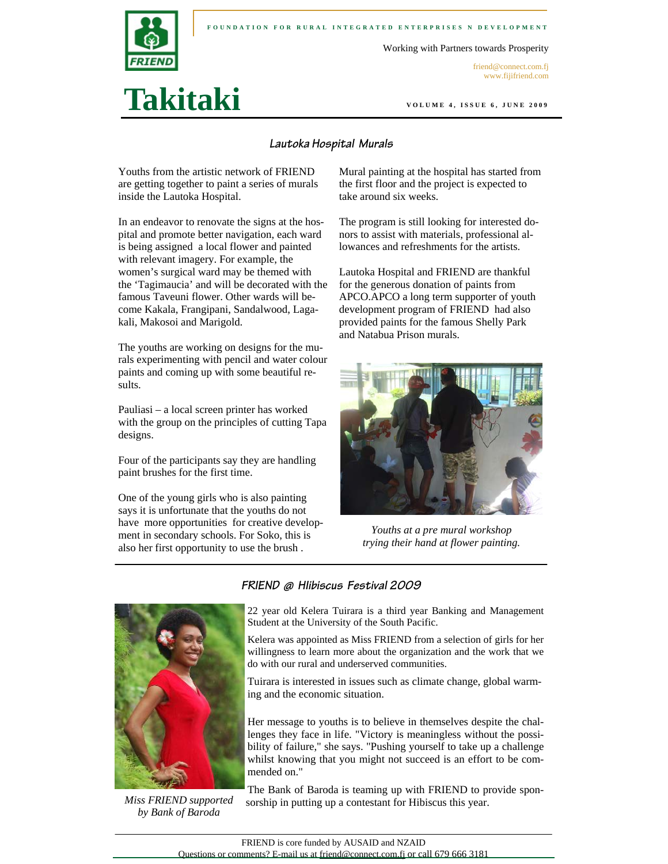

**Takitaki** 

#### **FOUNDATION FOR RURAL INTEGRATED ENTERPRISES N DEVELOPMENT**

Working with Partners towards Prosperity

friend@connect.com.fj www.fijifriend.com

**VOLUME 4, ISSUE 6, JUNE 2009** 

#### **Lautoka Hospital Murals**

Youths from the artistic network of FRIEND are getting together to paint a series of murals inside the Lautoka Hospital.

In an endeavor to renovate the signs at the hospital and promote better navigation, each ward is being assigned a local flower and painted with relevant imagery. For example, the women's surgical ward may be themed with the 'Tagimaucia' and will be decorated with the famous Taveuni flower. Other wards will become Kakala, Frangipani, Sandalwood, Lagakali, Makosoi and Marigold.

The youths are working on designs for the murals experimenting with pencil and water colour paints and coming up with some beautiful results.

Pauliasi – a local screen printer has worked with the group on the principles of cutting Tapa designs.

Four of the participants say they are handling paint brushes for the first time.

One of the young girls who is also painting says it is unfortunate that the youths do not have more opportunities for creative development in secondary schools. For Soko, this is also her first opportunity to use the brush .

Mural painting at the hospital has started from the first floor and the project is expected to take around six weeks.

The program is still looking for interested donors to assist with materials, professional allowances and refreshments for the artists.

Lautoka Hospital and FRIEND are thankful for the generous donation of paints from APCO.APCO a long term supporter of youth development program of FRIEND had also provided paints for the famous Shelly Park and Natabua Prison murals.



*Youths at a pre mural workshop trying their hand at flower painting.* 



*Miss FRIEND supported by Bank of Baroda* 

22 year old Kelera Tuirara is a third year Banking and Management Student at the University of the South Pacific.

Kelera was appointed as Miss FRIEND from a selection of girls for her willingness to learn more about the organization and the work that we do with our rural and underserved communities.

Tuirara is interested in issues such as climate change, global warming and the economic situation.

Her message to youths is to believe in themselves despite the challenges they face in life. "Victory is meaningless without the possibility of failure," she says. "Pushing yourself to take up a challenge whilst knowing that you might not succeed is an effort to be commended on."

The Bank of Baroda is teaming up with FRIEND to provide sponsorship in putting up a contestant for Hibiscus this year.

**FRIEND @ HIibiscus Festival 2009**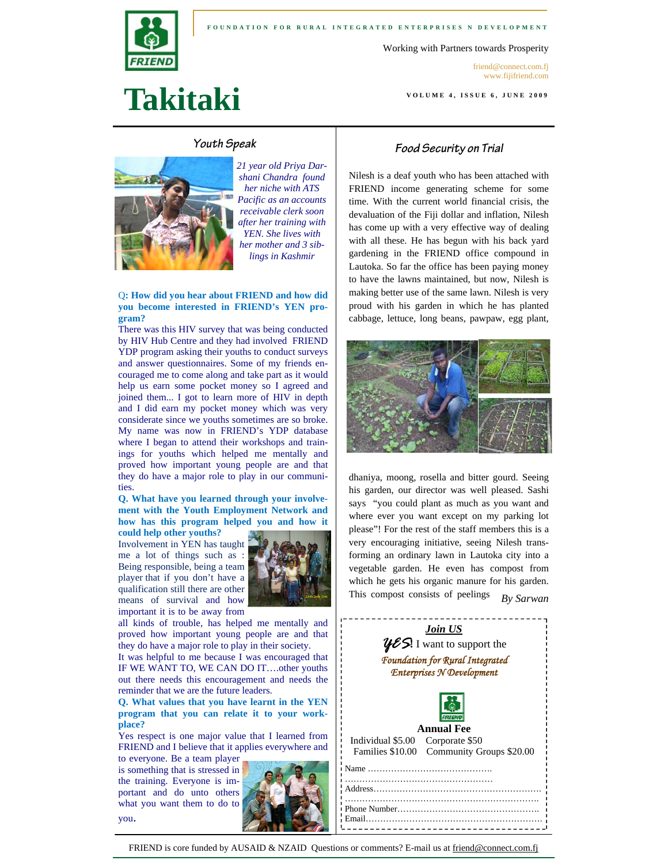

Working with Partners towards Prosperity

friend@connect.com.fj www.fijifriend.com

**VOLUME 4, ISSUE 6, JUNE 2009** 

# **Takitaki**

#### **Youth Speak**



*21 year old Priya Darshani Chandra found her niche with ATS Pacific as an accounts receivable clerk soon after her training with YEN. She lives with her mother and 3 siblings in Kashmir* 

#### Q**: How did you hear about FRIEND and how did you become interested in FRIEND's YEN program?**

There was this HIV survey that was being conducted by HIV Hub Centre and they had involved FRIEND YDP program asking their youths to conduct surveys and answer questionnaires. Some of my friends encouraged me to come along and take part as it would help us earn some pocket money so I agreed and joined them... I got to learn more of HIV in depth and I did earn my pocket money which was very considerate since we youths sometimes are so broke. My name was now in FRIEND's YDP database where I began to attend their workshops and trainings for youths which helped me mentally and proved how important young people are and that they do have a major role to play in our communities.

**Q. What have you learned through your involvement with the Youth Employment Network and how has this program helped you and how it** 

**could help other youths?**  Involvement in YEN has taught me a lot of things such as : Being responsible, being a team player that if you don't have a qualification still there are other means of survival and how important it is to be away from



all kinds of trouble, has helped me mentally and proved how important young people are and that they do have a major role to play in their society.

It was helpful to me because I was encouraged that IF WE WANT TO, WE CAN DO IT….other youths out there needs this encouragement and needs the reminder that we are the future leaders.

**Q. What values that you have learnt in the YEN program that you can relate it to your workplace?** 

Yes respect is one major value that I learned from FRIEND and I believe that it applies everywhere and

to everyone. Be a team player is something that is stressed in the training. Everyone is important and do unto others what you want them to do to you.



#### **Food Security on Trial**

Nilesh is a deaf youth who has been attached with FRIEND income generating scheme for some time. With the current world financial crisis, the devaluation of the Fiji dollar and inflation, Nilesh has come up with a very effective way of dealing with all these. He has begun with his back yard gardening in the FRIEND office compound in Lautoka. So far the office has been paying money to have the lawns maintained, but now, Nilesh is making better use of the same lawn. Nilesh is very proud with his garden in which he has planted cabbage, lettuce, long beans, pawpaw, egg plant,



dhaniya, moong, rosella and bitter gourd. Seeing his garden, our director was well pleased. Sashi says "you could plant as much as you want and where ever you want except on my parking lot please"! For the rest of the staff members this is a very encouraging initiative, seeing Nilesh transforming an ordinary lawn in Lautoka city into a vegetable garden. He even has compost from which he gets his organic manure for his garden. This compost consists of peelings *By Sarwan* 



FRIEND is core funded by AUSAID & NZAID Questions or comments? E-mail us at friend@connect.com.fj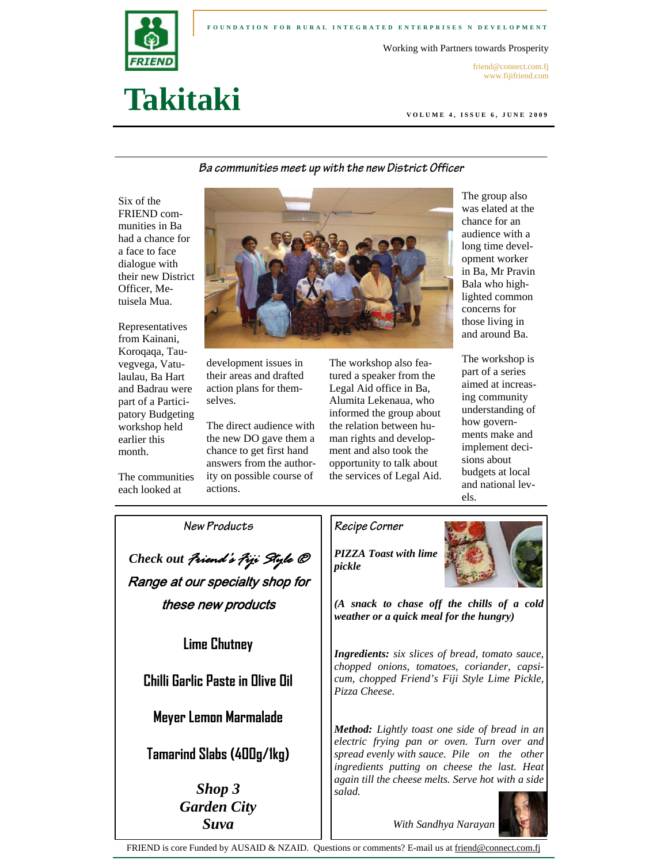

#### **FOUNDATION FOR RURAL INTEGRATED ENTERPRISES N DEVELOPMENT**

Working with Partners towards Prosperity

friend@connect.com.fj www.fijifriend.com

## **Takitaki**

**VOLUME 4, ISSUE 6, JUNE 2009** 

**Ba communities meet up with the new District Officer** 

Six of the FRIEND communities in Ba had a chance for a face to face dialogue with their new District Officer, Metuisela Mua.

Representatives from Kainani, Koroqaqa, Tauvegvega, Vatulaulau, Ba Hart and Badrau were part of a Participatory Budgeting workshop held earlier this month.

The communities each looked at



development issues in their areas and drafted action plans for themselves.

The direct audience with the new DO gave them a chance to get first hand answers from the authority on possible course of actions.

The workshop also featured a speaker from the Legal Aid office in Ba, Alumita Lekenaua, who informed the group about the relation between human rights and development and also took the opportunity to talk about the services of Legal Aid.

The group also was elated at the chance for an audience with a long time development worker in Ba, Mr Pravin Bala who highlighted common concerns for those living in and around Ba.

The workshop is part of a series aimed at increasing community understanding of how governments make and implement decisions about budgets at local and national levels.

**New Products** 

*Check out Friend's Fiji Style ®*  Range at our specialty shop for these new products

**Lime Chutney** 

**Chilli Garlic Paste in Olive Oil** 

**Meyer Lemon Marmalade** 

**Tamarind Slabs (400g/1kg)** 

*Shop 3 Garden City Suva* 

### **Recipe Corner**

*PIZZA Toast with lime pickle* 



*(A snack to chase off the chills of a cold weather or a quick meal for the hungry)* 

*Ingredients: six slices of bread, tomato sauce, chopped onions, tomatoes, coriander, capsicum, chopped Friend's Fiji Style Lime Pickle, Pizza Cheese.* 

*Method: Lightly toast one side of bread in an electric frying pan or oven. Turn over and spread evenly with sauce. Pile on the other ingredients putting on cheese the last. Heat again till the cheese melts. Serve hot with a side salad.* 



*With Sandhya Narayan* 

FRIEND is core Funded by AUSAID & NZAID. Questions or comments? E-mail us at friend@connect.com.fj